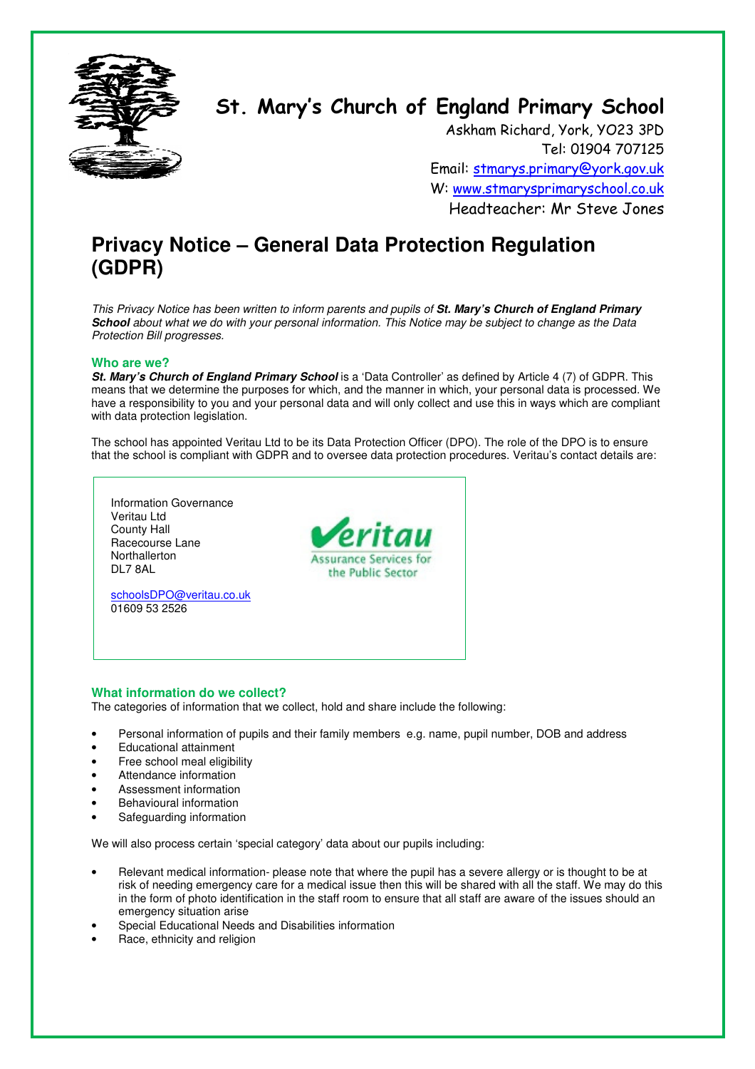

# St. Mary's Church of England Primary School

Askham Richard, York, YO23 3PD Tel: 01904 707125 Email: stmarys.primary@york.gov.uk W: www.stmarysprimaryschool.co.uk Headteacher: Mr Steve Jones

# **Privacy Notice – General Data Protection Regulation (GDPR)**

This Privacy Notice has been written to inform parents and pupils of **St. Mary's Church of England Primary School** about what we do with your personal information. This Notice may be subject to change as the Data Protection Bill progresses.

# **Who are we?**

**St. Mary's Church of England Primary School** is a 'Data Controller' as defined by Article 4 (7) of GDPR. This means that we determine the purposes for which, and the manner in which, your personal data is processed. We have a responsibility to you and your personal data and will only collect and use this in ways which are compliant with data protection legislation.

The school has appointed Veritau Ltd to be its Data Protection Officer (DPO). The role of the DPO is to ensure that the school is compliant with GDPR and to oversee data protection procedures. Veritau's contact details are:



### **What information do we collect?**

The categories of information that we collect, hold and share include the following:

- Personal information of pupils and their family members e.g. name, pupil number, DOB and address
- Educational attainment
- Free school meal eligibility
- Attendance information
- Assessment information
- Behavioural information
- Safeguarding information

We will also process certain 'special category' data about our pupils including:

- Relevant medical information- please note that where the pupil has a severe allergy or is thought to be at risk of needing emergency care for a medical issue then this will be shared with all the staff. We may do this in the form of photo identification in the staff room to ensure that all staff are aware of the issues should an emergency situation arise
- Special Educational Needs and Disabilities information
- Race, ethnicity and religion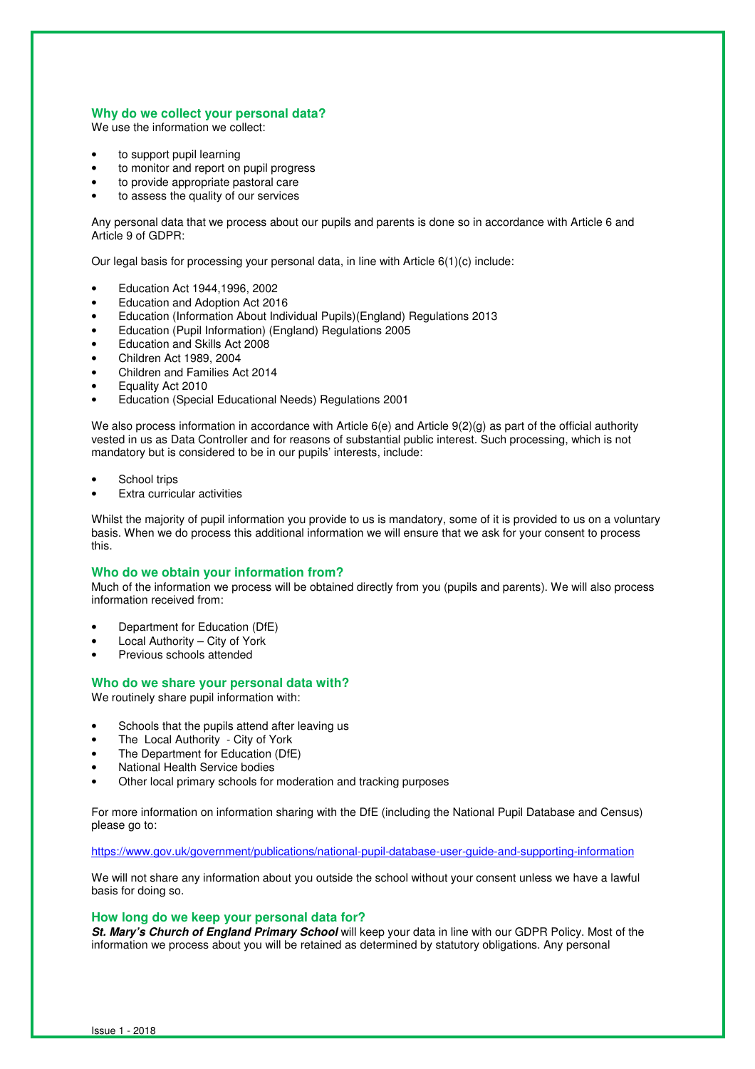#### **Why do we collect your personal data?**

We use the information we collect:

- to support pupil learning
- to monitor and report on pupil progress
- to provide appropriate pastoral care
- to assess the quality of our services

Any personal data that we process about our pupils and parents is done so in accordance with Article 6 and Article 9 of GDPR:

Our legal basis for processing your personal data, in line with Article 6(1)(c) include:

- Education Act 1944,1996, 2002
- Education and Adoption Act 2016
- Education (Information About Individual Pupils)(England) Regulations 2013
- Education (Pupil Information) (England) Regulations 2005
- Education and Skills Act 2008
- Children Act 1989, 2004
- Children and Families Act 2014
- Equality Act 2010
- Education (Special Educational Needs) Regulations 2001

We also process information in accordance with Article 6(e) and Article 9(2)(g) as part of the official authority vested in us as Data Controller and for reasons of substantial public interest. Such processing, which is not mandatory but is considered to be in our pupils' interests, include:

- School trips
- **Extra curricular activities**

Whilst the majority of pupil information you provide to us is mandatory, some of it is provided to us on a voluntary basis. When we do process this additional information we will ensure that we ask for your consent to process this.

#### **Who do we obtain your information from?**

Much of the information we process will be obtained directly from you (pupils and parents). We will also process information received from:

- Department for Education (DfE)
- Local Authority City of York
- Previous schools attended

#### **Who do we share your personal data with?**

We routinely share pupil information with:

- Schools that the pupils attend after leaving us
- The Local Authority City of York
- The Department for Education (DfE)
- National Health Service bodies
- Other local primary schools for moderation and tracking purposes

For more information on information sharing with the DfE (including the National Pupil Database and Census) please go to:

https://www.gov.uk/government/publications/national-pupil-database-user-guide-and-supporting-information

We will not share any information about you outside the school without your consent unless we have a lawful basis for doing so.

#### **How long do we keep your personal data for?**

**St. Mary's Church of England Primary School** will keep your data in line with our GDPR Policy. Most of the information we process about you will be retained as determined by statutory obligations. Any personal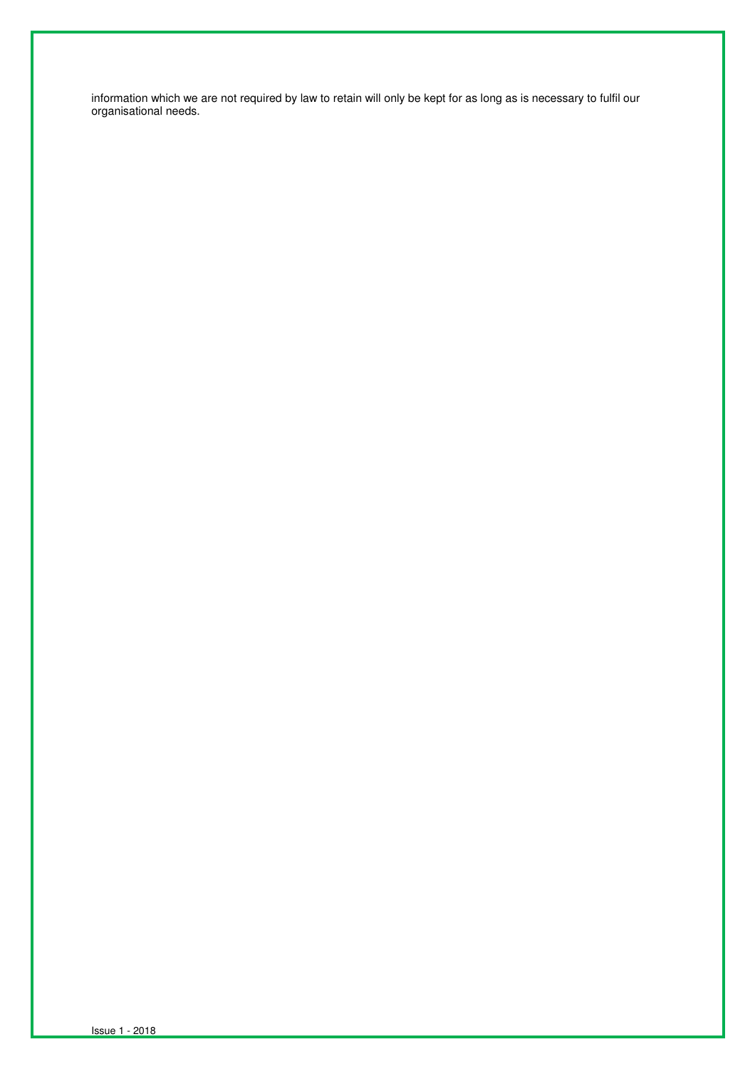information which we are not required by law to retain will only be kept for as long as is necessary to fulfil our organisational needs.